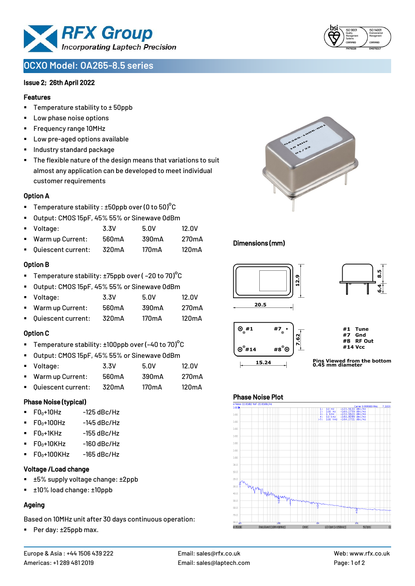

# **OCXO Model: OA265-8.5 series**

### Issue 2; 26th April 2022

#### Features

- Temperature stability to  $\pm$  50ppb
- Low phase noise options
- Frequency range 10MHz
- Low pre-aged options available
- Industry standard package
- The flexible nature of the design means that variations to suit almost any application can be developed to meet individual customer requirements

#### Option A

- Temperature stability :  $\pm 50$ ppb over (0 to 50)°C
- Output: CMOS 15pF, 45% 55% or Sinewave 0dBm
- Voltage: 3.3V 5.0V 12.0V
- Warm up Current: 560mA 390mA 270mA
- Quiescent current: 320mA 170mA 120mA

## Option B

- Temperature stability:  $\pm 75$ ppb over (-20 to 70)<sup>o</sup>C
- Output: CMOS 15pF, 45% 55% or Sinewave 0dBm
- Voltage: 3.3V 5.0V 12.0V
- Warm up Current: 560mA 390mA 270mA
- Quiescent current: 320mA 170mA 120mA

#### Option C

- Temperature stability:  $\pm 100$ ppb over (-40 to 70)°C
- Output: CMOS 15pF, 45% 55% or Sinewave 0dBm
- Voltage: 3.3V 5.0V 12.0V Warm up Current: 560mA 390mA 270mA
- Quiescent current: 320mA 170mA 120mA

#### Phase Noise (typical)

- $F0_0+10Hz$  -125 dBc/Hz
- $F0_0+100$ Hz  $-145$  dBc/Hz
- $\blacksquare$  F0 $\scriptstyle\bullet$ +1KHz -155 dBc/Hz
- $F0_0+10K$ Hz  $-160$  dBc/Hz
- $F0_0+100$ KHz  $-165$  dBc/Hz

## Voltage /Load change

- ±5% supply voltage change: ±2ppb
- ±10% load change: ±10ppb

## Ageing

Based on 10MHz unit after 30 days continuous operation:

■ Per day: ±25ppb max.





## Dimensions (mm)



## Phase Noise Plot